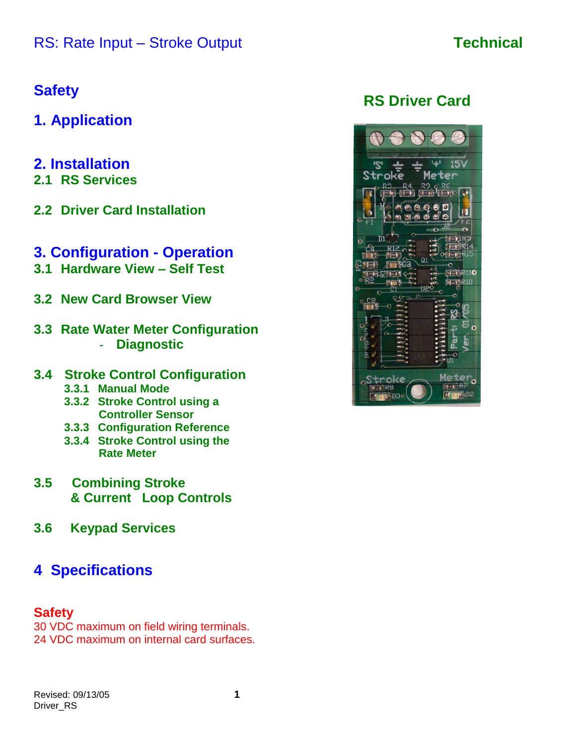# **Safety**

- **1. Application**
- **2. Installation**
- **2.1 RS Services**
- **2.2 Driver Card Installation**

# **3. Configuration - Operation**

- **3.1 Hardware View –Self Test**
- **3.2 New Card Browser View**
- **3.3 Rate Water Meter Configuration** - **Diagnostic**

## **3.4 Stroke Control Configuration**

- **3.3.1 Manual Mode**
- **3.3.2 Stroke Control using a Controller Sensor**
- **3.3.3 Configuration Reference**
- **3.3.4 Stroke Control using the Rate Meter**
- **3.5 Combining Stroke & Current Loop Controls**
- **3.6 Keypad Services**

# **4 Specifications**

## **Safety**

30 VDC maximum on field wiring terminals. 24 VDC maximum on internal card surfaces.

# **RS Driver Card**

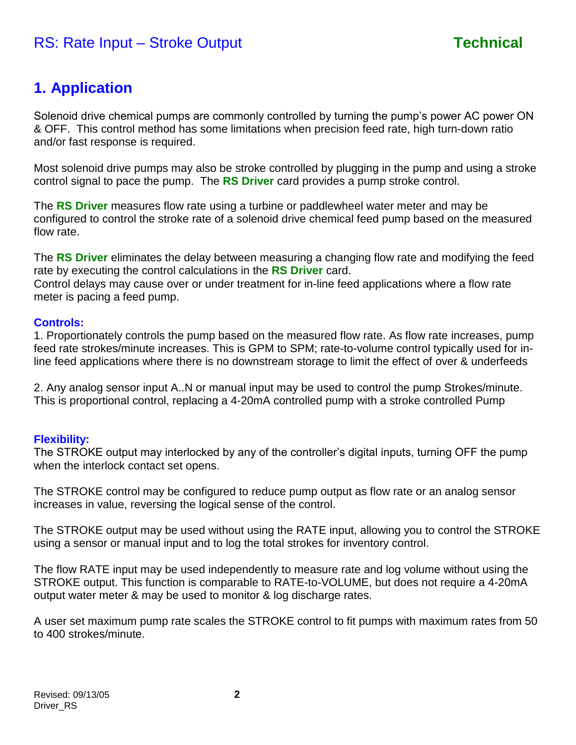# **1. Application**

Solenoid drive chemical pumps are commonly controlled by turning the pump's power AC power ON & OFF. This control method has some limitations when precision feed rate, high turn-down ratio and/or fast response is required.

Most solenoid drive pumps may also be stroke controlled by plugging in the pump and using a stroke control signal to pace the pump. The **RS Driver** card provides a pump stroke control.

The **RS Driver** measures flow rate using a turbine or paddlewheel water meter and may be configured to control the stroke rate of a solenoid drive chemical feed pump based on the measured flow rate.

The **RS Driver** eliminates the delay between measuring a changing flow rate and modifying the feed rate by executing the control calculations in the **RS Driver** card.

Control delays may cause over or under treatment for in-line feed applications where a flow rate meter is pacing a feed pump.

### **Controls:**

1. Proportionately controls the pump based on the measured flow rate. As flow rate increases, pump feed rate strokes/minute increases. This is GPM to SPM; rate-to-volume control typically used for inline feed applications where there is no downstream storage to limit the effect of over & underfeeds

2. Any analog sensor input A..N or manual input may be used to control the pump Strokes/minute. This is proportional control, replacing a 4-20mA controlled pump with a stroke controlled Pump

### **Flexibility:**

The STROKE output may interlocked by any of the controller's digital inputs, turning OFF the pump when the interlock contact set opens.

The STROKE control may be configured to reduce pump output as flow rate or an analog sensor increases in value, reversing the logical sense of the control.

The STROKE output may be used without using the RATE input, allowing you to control the STROKE using a sensor or manual input and to log the total strokes for inventory control.

The flow RATE input may be used independently to measure rate and log volume without using the STROKE output. This function is comparable to RATE-to-VOLUME, but does not require a 4-20mA output water meter & may be used to monitor & log discharge rates.

A user set maximum pump rate scales the STROKE control to fit pumps with maximum rates from 50 to 400 strokes/minute.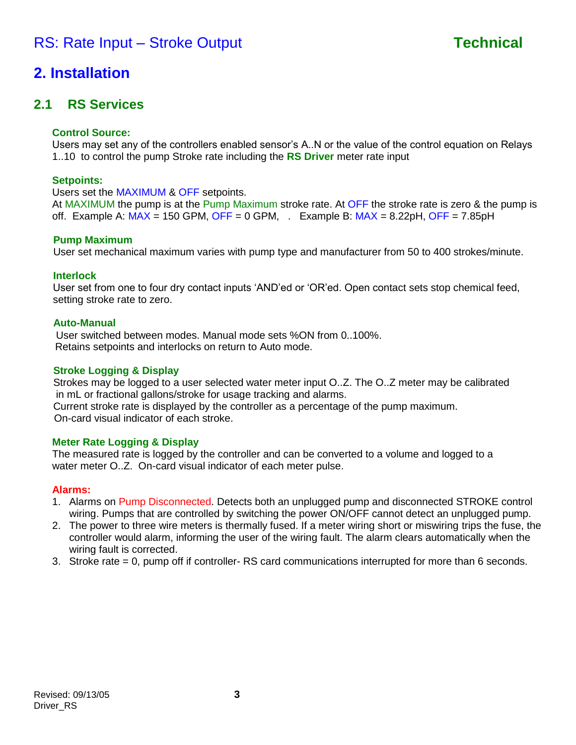# **2. Installation**

## **2.1 RS Services**

### **Control Source:**

Users may set any of the controllers enabled sensor's A..N or the value of the control equation on Relays 1..10 to control the pump Stroke rate including the **RS Driver** meter rate input

### **Setpoints:**

Users set the MAXIMUM & OFF setpoints.

At MAXIMUM the pump is at the Pump Maximum stroke rate. At OFF the stroke rate is zero & the pump is off. Example A:  $MAX = 150$  GPM, OFF = 0 GPM,  $\cdot$  Example B:  $MAX = 8.22pH$ , OFF = 7.85pH

### **Pump Maximum**

User set mechanical maximum varies with pump type and manufacturer from 50 to 400 strokes/minute.

### **Interlock**

User set from one to four dry contact inputs 'AND'ed or 'OR'ed. Open contact sets stop chemical feed, setting stroke rate to zero.

### **Auto-Manual**

User switched between modes. Manual mode sets %ON from 0..100%. Retains setpoints and interlocks on return to Auto mode.

### **Stroke Logging & Display**

Strokes may be logged to a user selected water meter input O..Z. The O..Z meter may be calibrated in mL or fractional gallons/stroke for usage tracking and alarms. Current stroke rate is displayed by the controller as a percentage of the pump maximum. On-card visual indicator of each stroke.

### **Meter Rate Logging & Display**

The measured rate is logged by the controller and can be converted to a volume and logged to a water meter O..Z. On-card visual indicator of each meter pulse.

### **Alarms:**

- 1. Alarms on Pump Disconnected. Detects both an unplugged pump and disconnected STROKE control wiring. Pumps that are controlled by switching the power ON/OFF cannot detect an unplugged pump.
- 2. The power to three wire meters is thermally fused. If a meter wiring short or miswiring trips the fuse, the controller would alarm, informing the user of the wiring fault. The alarm clears automatically when the wiring fault is corrected.
- 3. Stroke rate = 0, pump off if controller- RS card communications interrupted for more than 6 seconds.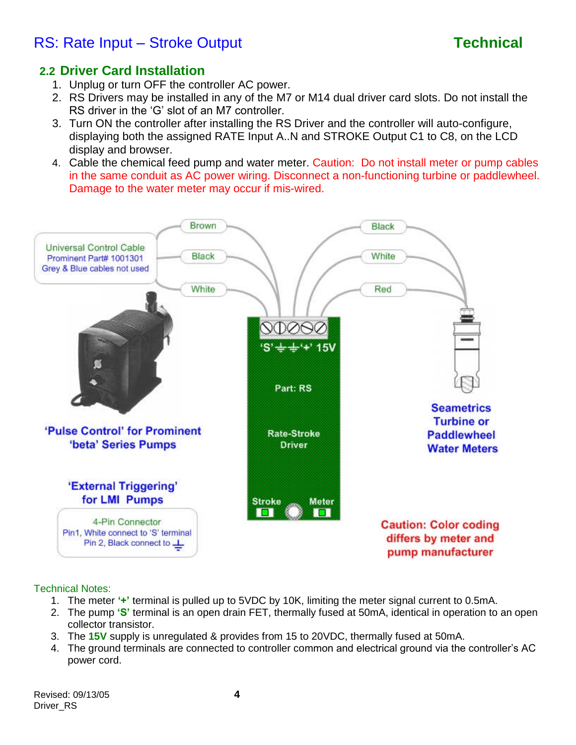## **2.2 Driver Card Installation**

- 1. Unplug or turn OFF the controller AC power.
- 2. RS Drivers may be installed in any of the M7 or M14 dual driver card slots. Do not install the RS driver in the 'G' slot of an M7 controller.
- 3. Turn ON the controller after installing the RS Driver and the controller will auto-configure, displaying both the assigned RATE Input A..N and STROKE Output C1 to C8, on the LCD display and browser.
- 4. Cable the chemical feed pump and water meter. Caution: Do not install meter or pump cables in the same conduit as AC power wiring. Disconnect a non-functioning turbine or paddlewheel. Damage to the water meter may occur if mis-wired.



### Technical Notes:

- 1. The meter **'+'**terminal is pulled up to 5VDC by 10K, limiting the meter signal current to 0.5mA.
- 2. The pump **'S'**terminal is an open drain FET, thermally fused at 50mA, identical in operation to an open collector transistor.
- 3. The **15V** supply is unregulated & provides from 15 to 20VDC, thermally fused at 50mA.
- 4. The ground terminals are connected to controller common and electrical ground via the controller's AC power cord.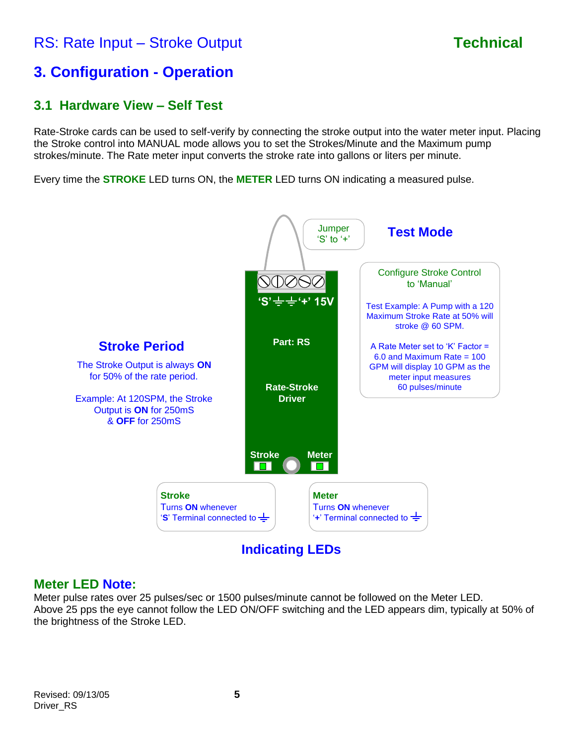# **3. Configuration - Operation**

## **3.1 Hardware View –Self Test**

Rate-Stroke cards can be used to self-verify by connecting the stroke output into the water meter input. Placing the Stroke control into MANUAL mode allows you to set the Strokes/Minute and the Maximum pump strokes/minute. The Rate meter input converts the stroke rate into gallons or liters per minute.

Every time the **STROKE** LED turns ON, the **METER** LED turns ON indicating a measured pulse.



**Indicating LEDs**

## **Meter LED Note:**

Meter pulse rates over 25 pulses/sec or 1500 pulses/minute cannot be followed on the Meter LED. Above 25 pps the eye cannot follow the LED ON/OFF switching and the LED appears dim, typically at 50% of the brightness of the Stroke LED.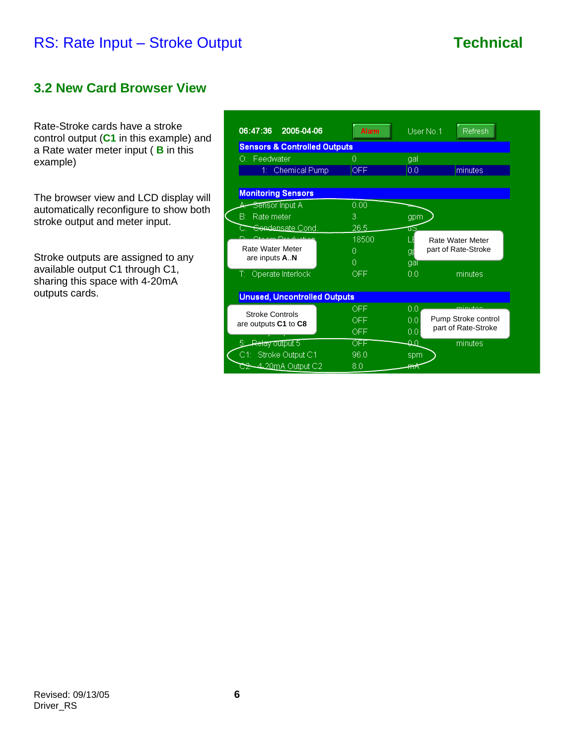## **3.2 New Card Browser View**

Rate-Stroke cards have a stroke control output (**C1** in this example) and a Rate water meter input ( **B** in this example)

The browser view and LCD display will automatically reconfigure to show both stroke output and meter input.

Stroke outputs are assigned to any available output C1 through C1, sharing this space with 4-20mA outputs cards.

| 06:47:36 2005-04-06                            | <b>Alarm</b> | User No.1<br>Refresh       |  |  |
|------------------------------------------------|--------------|----------------------------|--|--|
| <b>Sensors &amp; Controlled Outputs</b>        |              |                            |  |  |
| O: Feedwater                                   | 0            | gal                        |  |  |
| 1: Chemical Pump                               | <b>OFF</b>   | 10.0<br>minutes            |  |  |
|                                                |              |                            |  |  |
| <b>Monitoring Sensors</b>                      |              |                            |  |  |
| <del>Sensor</del> Input Aڪسنبھ                 | 0.00         |                            |  |  |
| B: Rate meter                                  | 3            | gpm                        |  |  |
| <del>Sendensate</del> Cond.                    | 26.5         | ℡                          |  |  |
| Ctasm Deadustion                               | 18500        | Rate Water Meter           |  |  |
| Rate Water Meter                               | 0            | part of Rate-Stroke<br>gr  |  |  |
| are inputs AN                                  | 0            | gaī                        |  |  |
| T: Operate Interlock                           | OFF.         | minutes<br>00              |  |  |
|                                                |              |                            |  |  |
| <b>Unused, Uncontrolled Outputs</b>            |              |                            |  |  |
|                                                | OFF.         | minuton<br>0.0             |  |  |
| <b>Stroke Controls</b><br>are outputs C1 to C8 | OFF.         | Pump Stroke control<br>0.0 |  |  |
|                                                | OFF.         | part of Rate-Stroke<br>0.0 |  |  |
| <del>Relay o</del> utput 5                     | OFF          | കി<br>minutes              |  |  |
| C1: Stroke Output C1                           | 96.0         | spm                        |  |  |
| <del>S2: 4.</del> 20mA Output C2               | 8.0          | ₩                          |  |  |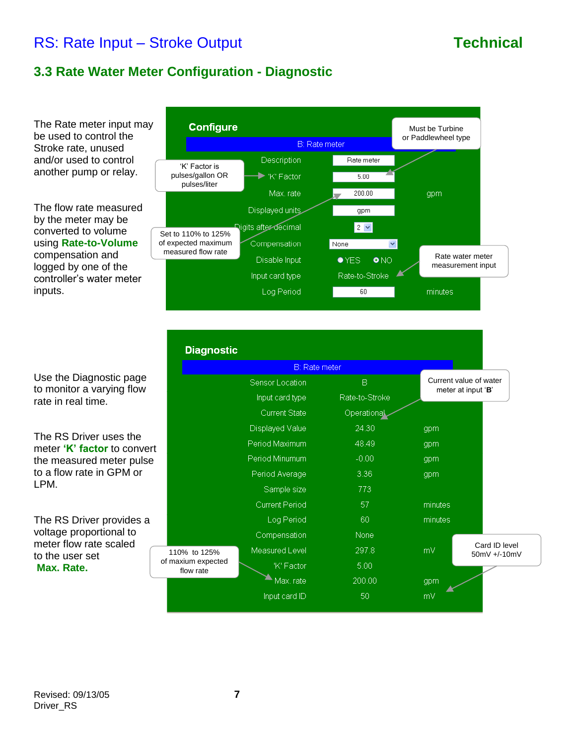## **3.3 Rate Water Meter Configuration - Diagnostic**

The Rate meter input may be used to control the Stroke rate, unused and/or used to control another pump or relay.

The flow rate measured by the meter may be converted to volume using **Rate-to-Volume** compensation and logged by one of the controller's water meter inputs.

Use the Diagnostic page to monitor a varying flow rate in real time.

The RS Driver uses the meter 'K' factor to convert the measured meter pulse to a flow rate in GPM or LPM.

The RS Driver provides a voltage proportional to meter flow rate scaled to the user set **Max. Rate.**



| <b>Diagnostic</b>               |                       |                |                                              |  |
|---------------------------------|-----------------------|----------------|----------------------------------------------|--|
|                                 | <b>B</b> : Rate meter |                |                                              |  |
|                                 | Sensor Location       | B              | Current value of water<br>meter at input 'B' |  |
|                                 | Input card type       | Rate-to-Stroke |                                              |  |
|                                 | <b>Current State</b>  | Operational    |                                              |  |
|                                 | Displayed Value       | 24.30          | gpm                                          |  |
|                                 | Period Maximum        | 48.49          | gpm                                          |  |
|                                 | Period Minumum        | $-0.00$        | gpm                                          |  |
|                                 | Period Average        | 3.36           | gpm                                          |  |
|                                 | Sample size           | 773            |                                              |  |
|                                 | Current Period        | 57             | minutes                                      |  |
|                                 | Log Period            | 60             | minutes                                      |  |
|                                 | Compensation          | <b>None</b>    |                                              |  |
| 110% to 125%                    | Measured Level        | 297.8          | Card ID level<br>mV<br>50mV +/-10mV          |  |
| of maxium expected<br>flow rate | 'K' Factor            | 5.00           |                                              |  |
|                                 | Max. rate             | 200.00         | gpm                                          |  |
|                                 | Input card ID         | 50             | mV                                           |  |
|                                 |                       |                |                                              |  |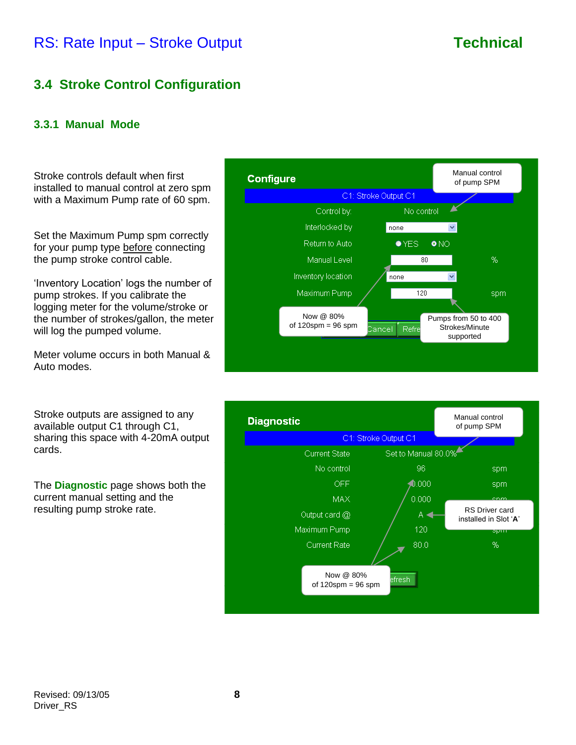## **3.4 Stroke Control Configuration**

### **3.3.1 Manual Mode**

Stroke controls default when first installed to manual control at zero spm with a Maximum Pump rate of 60 spm.

Set the Maximum Pump spm correctly for your pump type before connecting the pump stroke control cable.

'Inventory Location' logs the number of pump strokes. If you calibrate the logging meter for the volume/stroke or the number of strokes/gallon, the meter will log the pumped volume.

Meter volume occurs in both Manual & Auto modes.

Stroke outputs are assigned to any available output C1 through C1, sharing this space with 4-20mA output cards.

The **Diagnostic** page shows both the current manual setting and the resulting pump stroke rate.



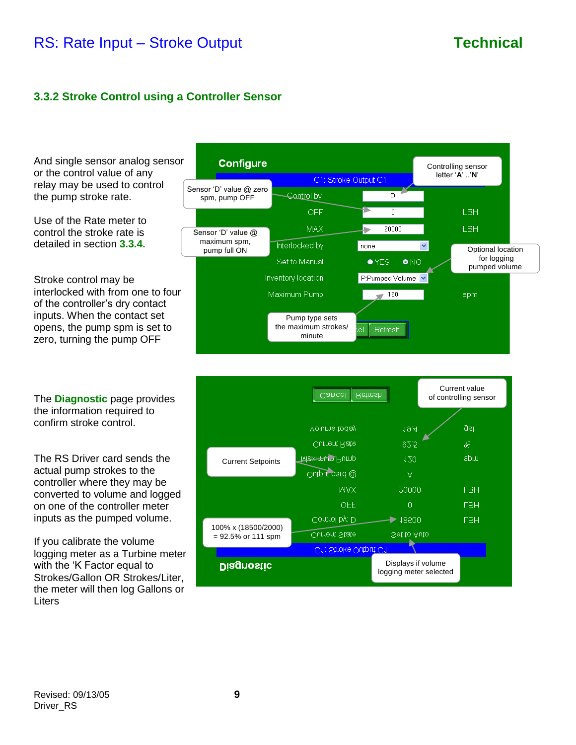### **3.3.2 Stroke Control using a Controller Sensor**

And single sensor analog sensor or the control value of any relay may be used to control the pump stroke rate.

Use of the Rate meter to control the stroke rate is detailed in section **3.3.4.**

Stroke control may be interlocked with from one to four of the controller's dry contact inputs. When the contact set opens, the pump spm is set to zero, turning the pump OFF

The **Diagnostic** page provides the information required to confirm stroke control.

The RS Driver card sends the actual pump strokes to the controller where they may be converted to volume and logged on one of the controller meter inputs as the pumped volume.

If you calibrate the volume logging meter as a Turbine meter with the 'K Factor equal to Strokes/Gallon OR Strokes/Liter, the meter will then log Gallons or Liters



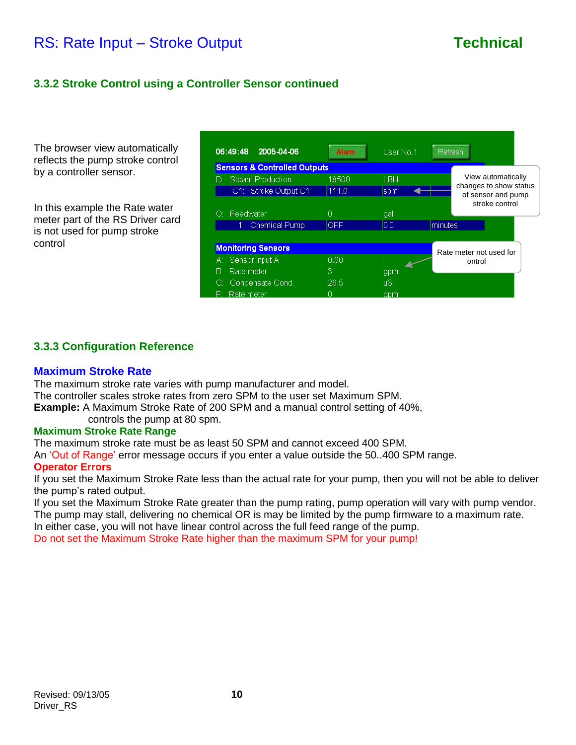### **3.3.2 Stroke Control using a Controller Sensor continued**

The browser view automatically reflects the pump stroke control by a controller sensor.

In this example the Rate water meter part of the RS Driver card is not used for pump stroke control

| 06:49:48 2005-04-06                     | <b>Alarm</b> | User No.1  | Refresh |                                                                                      |  |  |
|-----------------------------------------|--------------|------------|---------|--------------------------------------------------------------------------------------|--|--|
| <b>Sensors &amp; Controlled Outputs</b> |              |            |         |                                                                                      |  |  |
| D: Steam Production                     | 18500        | <b>LBH</b> |         | View automatically<br>changes to show status<br>of sensor and pump<br>stroke control |  |  |
| C1: Stroke Output C1                    | 111.0        | spm        |         |                                                                                      |  |  |
|                                         |              |            |         |                                                                                      |  |  |
| O: Feedwater                            | n            | gal        |         |                                                                                      |  |  |
| 1: Chemical Pump                        | <b>OFF</b>   | 10.0       | minutes |                                                                                      |  |  |
|                                         |              |            |         |                                                                                      |  |  |
| <b>Monitoring Sensors</b>               |              |            |         | Rate meter not used for<br>ontrol                                                    |  |  |
| A: Sensor Input A                       | 0.00         | ---        |         |                                                                                      |  |  |
| B: Rate meter                           | 3            | gpm        |         |                                                                                      |  |  |
| C: Condensate Cond.                     | 26.5         | πS         |         |                                                                                      |  |  |
| F: Rate meter                           |              | apm        |         |                                                                                      |  |  |

### **3.3.3 Configuration Reference**

### **Maximum Stroke Rate**

The maximum stroke rate varies with pump manufacturer and model. The controller scales stroke rates from zero SPM to the user set Maximum SPM. **Example:** A Maximum Stroke Rate of 200 SPM and a manual control setting of 40%, controls the pump at 80 spm.

### **Maximum Stroke Rate Range**

The maximum stroke rate must be as least 50 SPM and cannot exceed 400 SPM.

An 'Out of Range' error message occurs if you enter a value outside the 50..400 SPM range.

### **Operator Errors**

If you set the Maximum Stroke Rate less than the actual rate for your pump, then you will not be able to deliver the pump's rated output.

If you set the Maximum Stroke Rate greater than the pump rating, pump operation will vary with pump vendor. The pump may stall, delivering no chemical OR is may be limited by the pump firmware to a maximum rate.

In either case, you will not have linear control across the full feed range of the pump.

Do not set the Maximum Stroke Rate higher than the maximum SPM for your pump!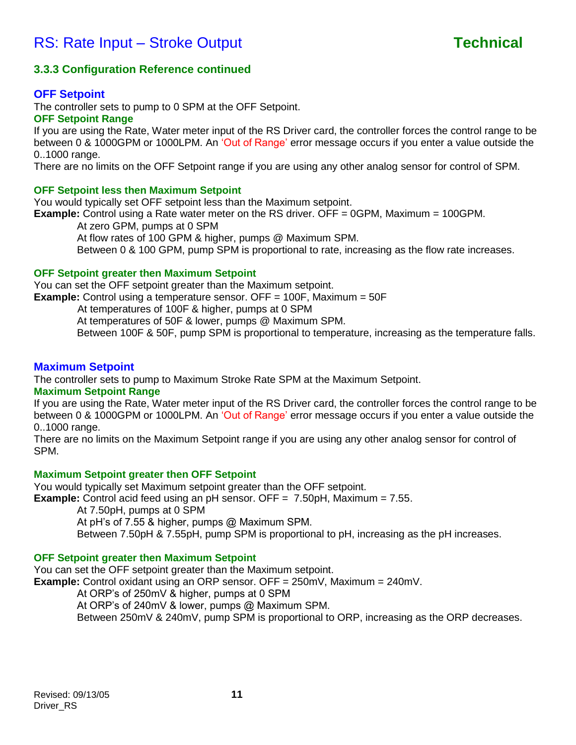### **3.3.3 Configuration Reference continued**

### **OFF Setpoint**

The controller sets to pump to 0 SPM at the OFF Setpoint.

### **OFF Setpoint Range**

If you are using the Rate, Water meter input of the RS Driver card, the controller forces the control range to be between 0 & 1000GPM or 1000LPM. An 'Out of Range' error message occurs if you enter a value outside the 0..1000 range.

There are no limits on the OFF Setpoint range if you are using any other analog sensor for control of SPM.

### **OFF Setpoint less then Maximum Setpoint**

You would typically set OFF setpoint less than the Maximum setpoint. **Example:** Control using a Rate water meter on the RS driver. OFF = 0GPM, Maximum = 100GPM. At zero GPM, pumps at 0 SPM

At flow rates of 100 GPM & higher, pumps @ Maximum SPM. Between 0 & 100 GPM, pump SPM is proportional to rate, increasing as the flow rate increases.

### **OFF Setpoint greater then Maximum Setpoint**

You can set the OFF setpoint greater than the Maximum setpoint. **Example:** Control using a temperature sensor. OFF = 100F, Maximum = 50F

At temperatures of 100F & higher, pumps at 0 SPM At temperatures of 50F & lower, pumps @ Maximum SPM.

Between 100F & 50F, pump SPM is proportional to temperature, increasing as the temperature falls.

### **Maximum Setpoint**

The controller sets to pump to Maximum Stroke Rate SPM at the Maximum Setpoint.

### **Maximum Setpoint Range**

If you are using the Rate, Water meter input of the RS Driver card, the controller forces the control range to be between 0 & 1000GPM or 1000LPM. An 'Out of Range' error message occurs if you enter a value outside the 0..1000 range.

There are no limits on the Maximum Setpoint range if you are using any other analog sensor for control of SPM.

### **Maximum Setpoint greater then OFF Setpoint**

You would typically set Maximum setpoint greater than the OFF setpoint. **Example:** Control acid feed using an pH sensor. OFF = 7.50pH, Maximum = 7.55.

At 7.50pH, pumps at 0 SPM

At pH's of 7.55 & higher, pumps @ Maximum SPM.

Between 7.50pH & 7.55pH, pump SPM is proportional to pH, increasing as the pH increases.

### **OFF Setpoint greater then Maximum Setpoint**

You can set the OFF setpoint greater than the Maximum setpoint.

**Example:** Control oxidant using an ORP sensor. OFF = 250mV, Maximum = 240mV.

At ORP's of 250mV & higher, pumps at 0 SPM

At ORP's of 240mV & lower, pumps @ Maximum SPM.

Between 250mV & 240mV, pump SPM is proportional to ORP, increasing as the ORP decreases.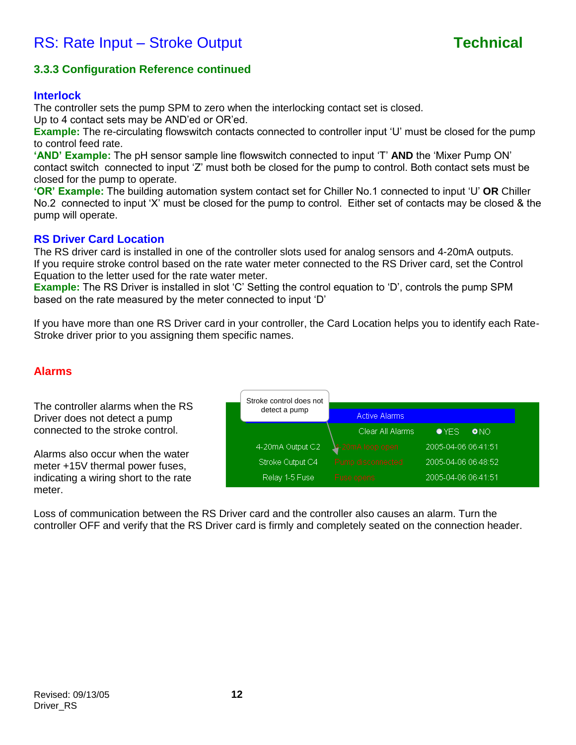

### **3.3.3 Configuration Reference continued**

### **Interlock**

The controller sets the pump SPM to zero when the interlocking contact set is closed.

Up to 4 contact sets may be AND'ed or OR'ed.

**Example:** The re-circulating flowswitch contacts connected to controller input 'U' must be closed for the pump to control feed rate.

'AND' Example: The pH sensor sample line flowswitch connected to input 'T' AND the 'Mixer Pump ON' contact switch connected to input 'Z' must both be closed for the pump to control. Both contact sets must be closed for the pump to operate.

**'OR' Example:** The building automation system contact set for Chiller No.1 connected to input 'U' OR Chiller No.2 connected to input 'X' must be closed for the pump to control. Either set of contacts may be closed & the pump will operate.

### **RS Driver Card Location**

The RS driver card is installed in one of the controller slots used for analog sensors and 4-20mA outputs. If you require stroke control based on the rate water meter connected to the RS Driver card, set the Control Equation to the letter used for the rate water meter.

**Example:** The RS Driver is installed in slot 'C' Setting the control equation to 'D', controls the pump SPM based on the rate measured by the meter connected to input 'D'

If you have more than one RS Driver card in your controller, the Card Location helps you to identify each Rate-Stroke driver prior to you assigning them specific names.

### **Alarms**

The controller alarms when the RS Driver does not detect a pump connected to the stroke control.

Alarms also occur when the water meter +15V thermal power fuses, indicating a wiring short to the rate meter.



Loss of communication between the RS Driver card and the controller also causes an alarm. Turn the controller OFF and verify that the RS Driver card is firmly and completely seated on the connection header.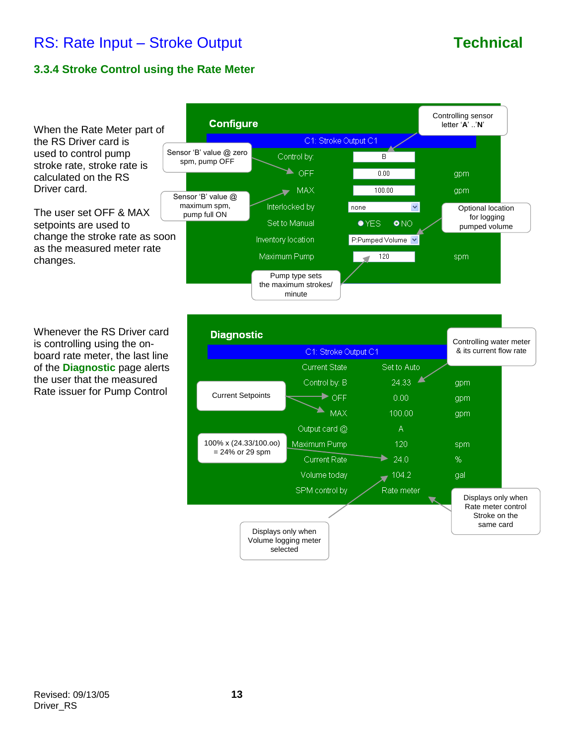### **3.3.4 Stroke Control using the Rate Meter**

When the Rate Meter part of the RS Driver card is used to control pump stroke rate, stroke rate is calculated on the RS Driver card.

The user set OFF & MAX setpoints are used to change the stroke rate as soon as the measured meter rate changes.

Whenever the RS Driver card is controlling using the onboard rate meter, the last line of the **Diagnostic** page alerts the user that the measured Rate issuer for Pump Control



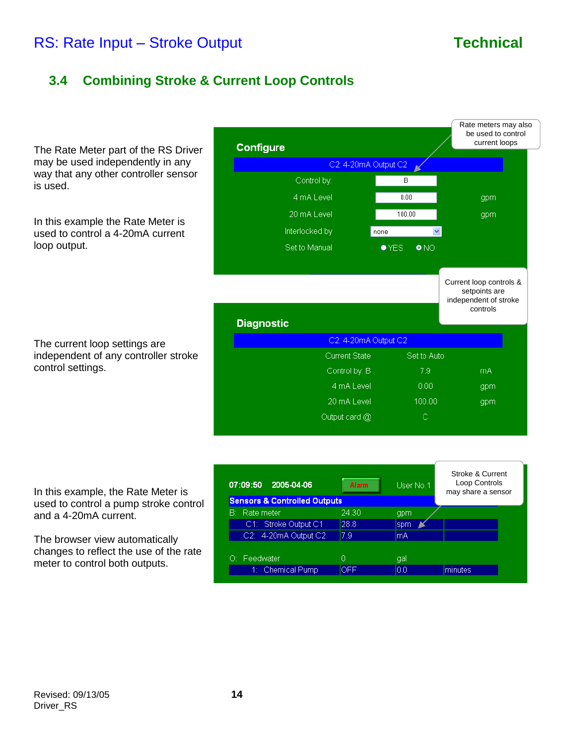## **3.4 Combining Stroke & Current Loop Controls**

The Rate Meter part of the RS Driver may be used independently in any way that any other controller sensor is used.

In this example the Rate Meter is used to control a 4-20mA current loop output.

The current loop settings are independent of any controller stroke control settings.

| <b>Configure</b>     |                               | Rate meters may also<br>be used to control<br>current loops       |
|----------------------|-------------------------------|-------------------------------------------------------------------|
| C2: 4-20mA Output C2 |                               |                                                                   |
| Control by:          | B                             |                                                                   |
| 4 mA Level           | 0.00                          | gpm                                                               |
| 20 mA Level          | 100.00                        | gpm                                                               |
| Interlocked by       | none                          |                                                                   |
| Set to Manual        | $\bullet$ YES<br>$\bullet$ NO |                                                                   |
|                      |                               |                                                                   |
|                      |                               | Current loop controls &<br>setpoints are<br>independent of stroke |
| <b>Diagnostic</b>    |                               | controls                                                          |
| C2: 4-20mA Output C2 |                               |                                                                   |
| <b>Current State</b> | Set to Auto                   |                                                                   |
| Control by: B        | 7.9                           | <b>mA</b>                                                         |
| 4 mA Level           | 0.00                          | gpm                                                               |
| 20 mA Level          | 100.00                        | gpm                                                               |
| Output card @        | C                             |                                                                   |

In this example, the Rate Meter is used to control a pump stroke control and a 4-20mA current.

The browser view automatically changes to reflect the use of the rate meter to control both outputs.

| 07:09:50<br>2005-04-06                  | <b>Alarm</b> | User No.1 | Stroke & Current<br>Loop Controls<br>may share a sensor |
|-----------------------------------------|--------------|-----------|---------------------------------------------------------|
| <b>Sensors &amp; Controlled Outputs</b> |              |           |                                                         |
| <b>B:</b> Rate meter                    | 24.30        | gpm       |                                                         |
| C1: Stroke Output C1                    | 28.8         | spm       |                                                         |
| C2: 4-20mA Output C2                    | 7.9          | lmA       |                                                         |
|                                         |              |           |                                                         |
| O: Feedwater                            | 0            | gal       |                                                         |
| 1: Chemical Pump                        | OFF.         | 0.0       | minutes                                                 |
|                                         |              |           |                                                         |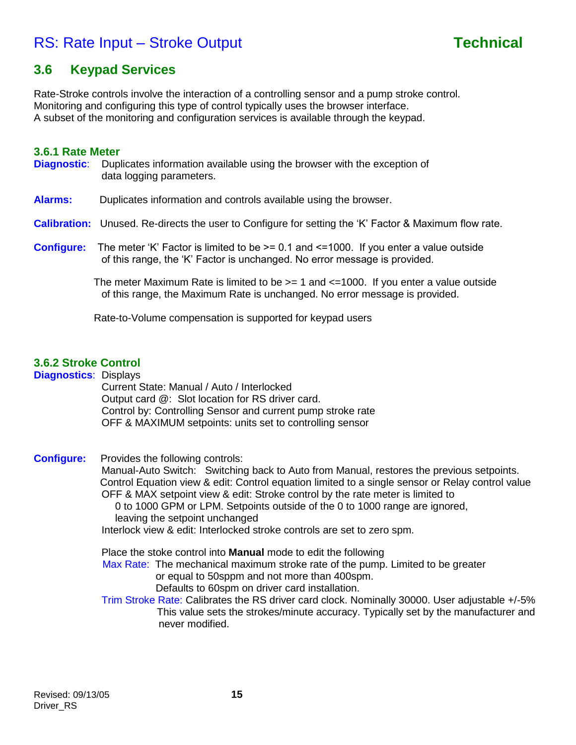## **3.6 Keypad Services**

Rate-Stroke controls involve the interaction of a controlling sensor and a pump stroke control. Monitoring and configuring this type of control typically uses the browser interface. A subset of the monitoring and configuration services is available through the keypad.

### **3.6.1 Rate Meter**

- **Diagnostic**: Duplicates information available using the browser with the exception of data logging parameters.
- **Alarms:** Duplicates information and controls available using the browser.

### **Calibration:** Unused. Re-directs the user to Configure for setting the 'K' Factor & Maximum flow rate.

**Configure:** The meter 'K' Factor is limited to be  $\geq$  0.1 and  $\leq$  1000. If you enter a value outside of this range, the 'K' Factor is unchanged. No error message is provided.

> The meter Maximum Rate is limited to be  $>= 1$  and  $<=1000$ . If you enter a value outside of this range, the Maximum Rate is unchanged. No error message is provided.

Rate-to-Volume compensation is supported for keypad users

### **3.6.2 Stroke Control**

**Diagnostics**: Displays Current State: Manual / Auto / Interlocked Output card @: Slot location for RS driver card. Control by: Controlling Sensor and current pump stroke rate OFF & MAXIMUM setpoints: units set to controlling sensor

**Configure:** Provides the following controls:

Manual-Auto Switch: Switching back to Auto from Manual, restores the previous setpoints. Control Equation view & edit: Control equation limited to a single sensor or Relay control value OFF & MAX setpoint view & edit: Stroke control by the rate meter is limited to 0 to 1000 GPM or LPM. Setpoints outside of the 0 to 1000 range are ignored,

leaving the setpoint unchanged

Interlock view & edit: Interlocked stroke controls are set to zero spm.

Place the stoke control into **Manual** mode to edit the following

Max Rate: The mechanical maximum stroke rate of the pump. Limited to be greater

or equal to 50sppm and not more than 400spm.

- Defaults to 60spm on driver card installation.
- Trim Stroke Rate: Calibrates the RS driver card clock. Nominally 30000. User adjustable +/-5% This value sets the strokes/minute accuracy. Typically set by the manufacturer and never modified.